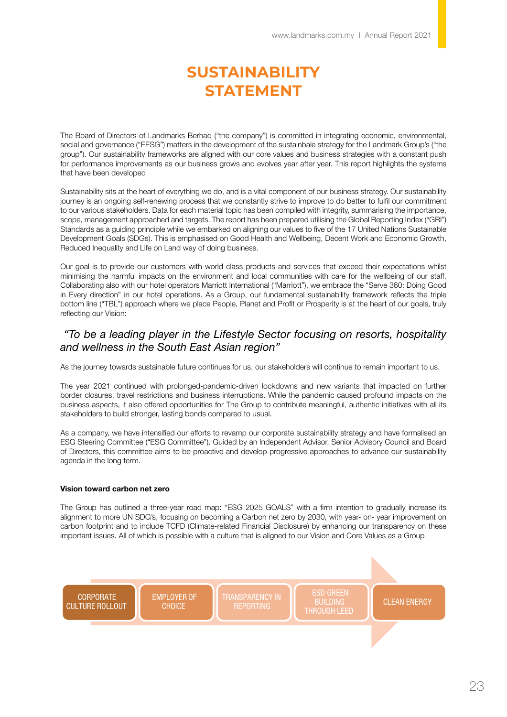# **SUSTAINABILITY STATEMENT**

The Board of Directors of Landmarks Berhad ("the company") is committed in integrating economic, environmental, social and governance ("EESG") matters in the development of the sustainbale strategy for the Landmark Group's ("the group"). Our sustainability frameworks are aligned with our core values and business strategies with a constant push for performance improvements as our business grows and evolves year after year. This report highlights the systems that have been developed

Sustainability sits at the heart of everything we do, and is a vital component of our business strategy. Our sustainability journey is an ongoing self-renewing process that we constantly strive to improve to do better to fulfil our commitment to our various stakeholders. Data for each material topic has been compiled with integrity, summarising the importance, scope, management approached and targets. The report has been prepared utilising the Global Reporting Index ("GRI") Standards as a guiding principle while we embarked on aligning our values to five of the 17 United Nations Sustainable Development Goals (SDGs). This is emphasised on Good Health and Wellbeing, Decent Work and Economic Growth, Reduced Inequality and Life on Land way of doing business.

Our goal is to provide our customers with world class products and services that exceed their expectations whilst minimising the harmful impacts on the environment and local communities with care for the wellbeing of our staff. Collaborating also with our hotel operators Marriott International ("Marriott"), we embrace the "Serve 360: Doing Good in Every direction" in our hotel operations. As a Group, our fundamental sustainability framework reflects the triple bottom line ("TBL") approach where we place People, Planet and Profit or Prosperity is at the heart of our goals, truly reflecting our Vision:

### *"To be a leading player in the Lifestyle Sector focusing on resorts, hospitality and wellness in the South East Asian region"*

As the journey towards sustainable future continues for us, our stakeholders will continue to remain important to us.

The year 2021 continued with prolonged-pandemic-driven lockdowns and new variants that impacted on further border closures, travel restrictions and business interruptions. While the pandemic caused profound impacts on the business aspects, it also offered opportunities for The Group to contribute meaningful, authentic initiatives with all its stakeholders to build stronger, lasting bonds compared to usual.

As a company, we have intensified our efforts to revamp our corporate sustainability strategy and have formalised an ESG Steering Committee ("ESG Committee"). Guided by an Independent Advisor, Senior Advisory Council and Board of Directors, this committee aims to be proactive and develop progressive approaches to advance our sustainability agenda in the long term.

#### Vision toward carbon net zero

The Group has outlined a three-year road map: "ESG 2025 GOALS" with a firm intention to gradually increase its alignment to more UN SDG's, focusing on becoming a Carbon net zero by 2030, with year- on- year improvement on carbon footprint and to include TCFD (Climate-related Financial Disclosure) by enhancing our transparency on these important issues. All of which is possible with a culture that is aligned to our Vision and Core Values as a Group

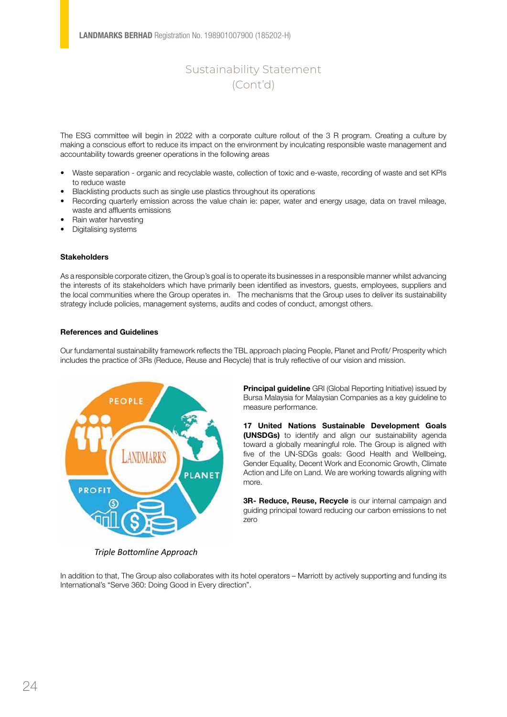The ESG committee will begin in 2022 with a corporate culture rollout of the 3 R program. Creating a culture by making a conscious effort to reduce its impact on the environment by inculcating responsible waste management and accountability towards greener operations in the following areas

- Waste separation organic and recyclable waste, collection of toxic and e-waste, recording of waste and set KPIs to reduce waste
- Blacklisting products such as single use plastics throughout its operations
- Recording quarterly emission across the value chain ie: paper, water and energy usage, data on travel mileage, waste and affluents emissions
- Rain water harvesting
- Digitalising systems

### **Stakeholders**

As a responsible corporate citizen, the Group's goal is to operate its businesses in a responsible manner whilst advancing the interests of its stakeholders which have primarily been identified as investors, guests, employees, suppliers and the local communities where the Group operates in. The mechanisms that the Group uses to deliver its sustainability strategy include policies, management systems, audits and codes of conduct, amongst others.

#### References and Guidelines

Our fundamental sustainability framework reflects the TBL approach placing People, Planet and Profit/ Prosperity which includes the practice of 3Rs (Reduce, Reuse and Recycle) that is truly reflective of our vision and mission.



**Principal guideline** GRI (Global Reporting Initiative) issued by Bursa Malaysia for Malaysian Companies as a key guideline to measure performance.

17 United Nations Sustainable Development Goals (UNSDGs) to identify and align our sustainability agenda toward a globally meaningful role. The Group is aligned with five of the UN-SDGs goals: Good Health and Wellbeing, Gender Equality, Decent Work and Economic Growth, Climate Action and Life on Land. We are working towards aligning with more.

3R- Reduce, Reuse, Recycle is our internal campaign and guiding principal toward reducing our carbon emissions to net zero

*Triple Bottomline Approach*

In addition to that, The Group also collaborates with its hotel operators – Marriott by actively supporting and funding its International's "Serve 360: Doing Good in Every direction".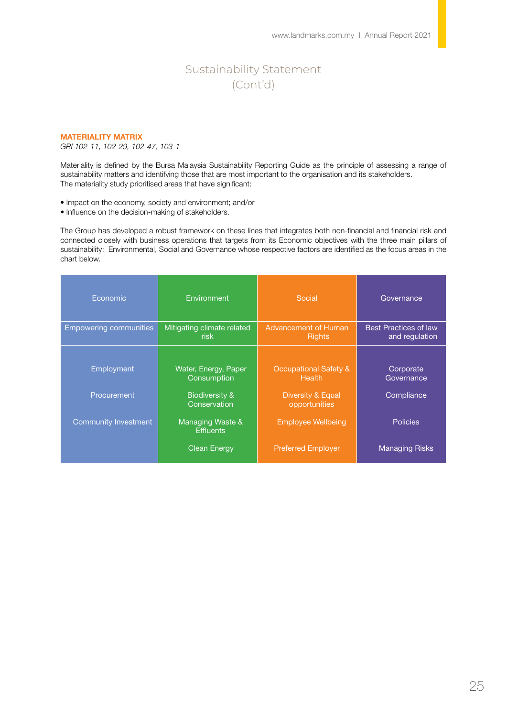#### MATERIALITY MATRIX

*GRI 102-11, 102-29, 102-47, 103-1*

Materiality is defined by the Bursa Malaysia Sustainability Reporting Guide as the principle of assessing a range of sustainability matters and identifying those that are most important to the organisation and its stakeholders. The materiality study prioritised areas that have significant:

• Impact on the economy, society and environment; and/or

• Influence on the decision-making of stakeholders.

The Group has developed a robust framework on these lines that integrates both non-financial and financial risk and connected closely with business operations that targets from its Economic objectives with the three main pillars of sustainability: Environmental, Social and Governance whose respective factors are identified as the focus areas in the chart below.

| Economic                      | Environment                               | Social                                            | Governance                                     |
|-------------------------------|-------------------------------------------|---------------------------------------------------|------------------------------------------------|
| <b>Empowering communities</b> | Mitigating climate related<br><b>risk</b> | <b>Advancement of Human</b><br><b>Rights</b>      | <b>Best Practices of law</b><br>and regulation |
|                               |                                           |                                                   |                                                |
| Employment                    | Water, Energy, Paper<br>Consumption       | <b>Occupational Safety &amp;</b><br><b>Health</b> | Corporate<br>Governance                        |
| Procurement                   | <b>Biodiversity &amp;</b><br>Conservation | Diversity & Equal<br>opportunities                | Compliance                                     |
| <b>Community Investment</b>   | Managing Waste &<br><b>Effluents</b>      | <b>Employee Wellbeing</b>                         | <b>Policies</b>                                |
|                               | <b>Clean Energy</b>                       | <b>Preferred Employer</b>                         | <b>Managing Risks</b>                          |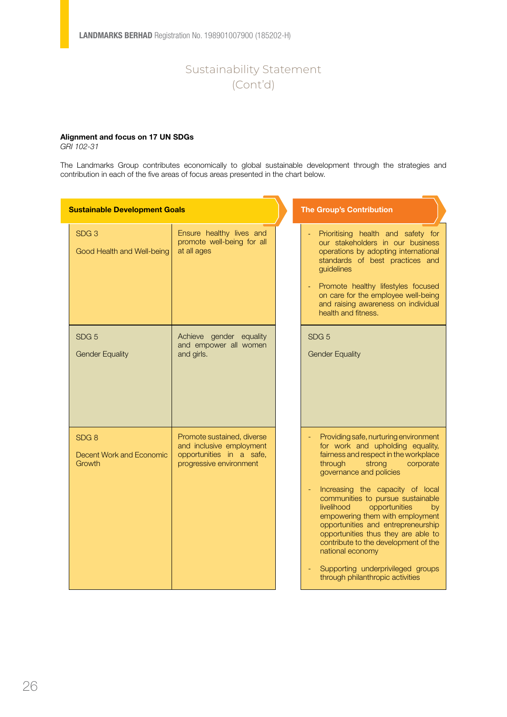### Alignment and focus on 17 UN SDGs

*GRI 102-31*

The Landmarks Group contributes economically to global sustainable development through the strategies and contribution in each of the five areas of focus areas presented in the chart below.

| <b>Sustainable Development Goals</b>                          |                                                                                                               | <b>The Group's Contribution</b>                                                                                                                                                                                                                                                                                                                                                                                                                                                                                                                    |
|---------------------------------------------------------------|---------------------------------------------------------------------------------------------------------------|----------------------------------------------------------------------------------------------------------------------------------------------------------------------------------------------------------------------------------------------------------------------------------------------------------------------------------------------------------------------------------------------------------------------------------------------------------------------------------------------------------------------------------------------------|
| SDG <sub>3</sub><br>Good Health and Well-being                | Ensure healthy lives and<br>promote well-being for all<br>at all ages                                         | Prioritising health and safety for<br>our stakeholders in our business<br>operations by adopting international<br>standards of best practices and<br>guidelines<br>Promote healthy lifestyles focused<br>on care for the employee well-being<br>and raising awareness on individual<br>health and fitness.                                                                                                                                                                                                                                         |
| SDG <sub>5</sub><br><b>Gender Equality</b>                    | Achieve gender equality<br>and empower all women<br>and girls.                                                | SDG <sub>5</sub><br><b>Gender Equality</b>                                                                                                                                                                                                                                                                                                                                                                                                                                                                                                         |
| SDG <sub>8</sub><br><b>Decent Work and Economic</b><br>Growth | Promote sustained, diverse<br>and inclusive employment<br>opportunities in a safe,<br>progressive environment | Providing safe, nurturing environment<br>for work and upholding equality,<br>fairness and respect in the workplace<br>through<br>strong<br>corporate<br>governance and policies<br>Increasing the capacity of local<br>communities to pursue sustainable<br>livelihood<br>opportunities<br>by<br>empowering them with employment<br>opportunities and entrepreneurship<br>opportunities thus they are able to<br>contribute to the development of the<br>national economy<br>Supporting underprivileged groups<br>through philanthropic activities |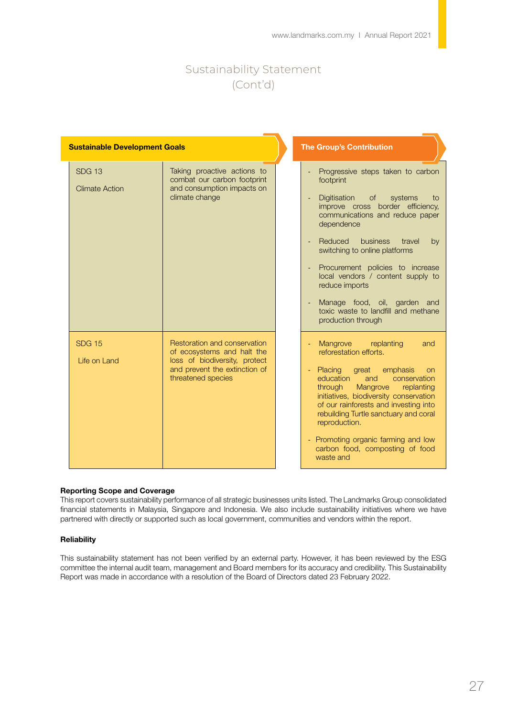|                                        | <b>Sustainable Development Goals</b>                                                                                                               |  | <b>The Group's Contribution</b>                                                                                                                                                                                                                                                                                                                                                                                                            |
|----------------------------------------|----------------------------------------------------------------------------------------------------------------------------------------------------|--|--------------------------------------------------------------------------------------------------------------------------------------------------------------------------------------------------------------------------------------------------------------------------------------------------------------------------------------------------------------------------------------------------------------------------------------------|
| <b>SDG 13</b><br><b>Climate Action</b> | Taking proactive actions to<br>combat our carbon footprint<br>and consumption impacts on<br>climate change                                         |  | Progressive steps taken to carbon<br>footprint<br>Digitisation<br>of<br>systems<br>to<br>improve cross border efficiency,<br>communications and reduce paper<br>dependence<br>Reduced<br>business<br>travel<br>by<br>switching to online platforms<br>Procurement policies to increase<br>local vendors / content supply to<br>reduce imports<br>Manage food, oil, garden and<br>toxic waste to landfill and methane<br>production through |
| <b>SDG 15</b><br>Life on Land          | Restoration and conservation<br>of ecosystems and halt the<br>loss of biodiversity, protect<br>and prevent the extinction of<br>threatened species |  | Mangrove replanting<br>and<br>reforestation efforts.<br>Placing<br>emphasis<br>great<br>on<br>education<br>conservation<br>and<br>Mangrove<br>through<br>replanting<br>initiatives, biodiversity conservation<br>of our rainforests and investing into<br>rebuilding Turtle sanctuary and coral<br>reproduction.<br>Promoting organic farming and low<br>carbon food, composting of food<br>waste and                                      |

### Reporting Scope and Coverage

This report covers sustainability performance of all strategic businesses units listed. The Landmarks Group consolidated financial statements in Malaysia, Singapore and Indonesia. We also include sustainability initiatives where we have partnered with directly or supported such as local government, communities and vendors within the report.

#### **Reliability**

This sustainability statement has not been verified by an external party. However, it has been reviewed by the ESG committee the internal audit team, management and Board members for its accuracy and credibility. This Sustainability Report was made in accordance with a resolution of the Board of Directors dated 23 February 2022.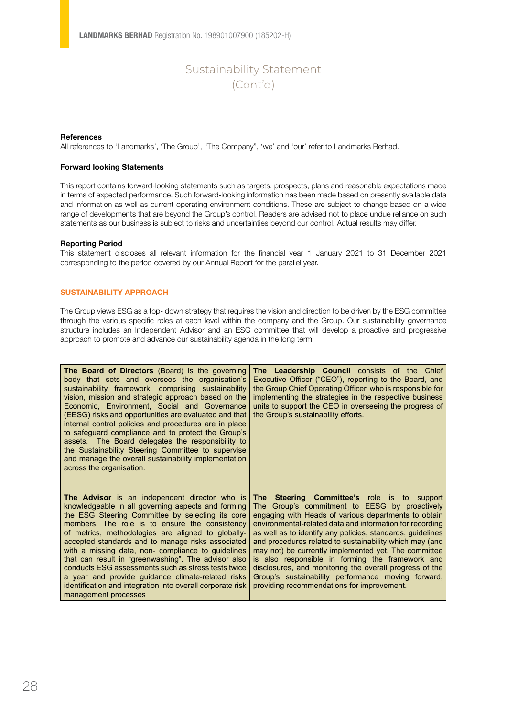#### **References**

All references to 'Landmarks', 'The Group', "The Company", 'we' and 'our' refer to Landmarks Berhad.

#### Forward looking Statements

This report contains forward-looking statements such as targets, prospects, plans and reasonable expectations made in terms of expected performance. Such forward-looking information has been made based on presently available data and information as well as current operating environment conditions. These are subject to change based on a wide range of developments that are beyond the Group's control. Readers are advised not to place undue reliance on such statements as our business is subject to risks and uncertainties beyond our control. Actual results may differ.

#### Reporting Period

This statement discloses all relevant information for the financial year 1 January 2021 to 31 December 2021 corresponding to the period covered by our Annual Report for the parallel year.

#### SUSTAINABILITY APPROACH

The Group views ESG as a top- down strategy that requires the vision and direction to be driven by the ESG committee through the various specific roles at each level within the company and the Group. Our sustainability governance structure includes an Independent Advisor and an ESG committee that will develop a proactive and progressive approach to promote and advance our sustainability agenda in the long term

| The Board of Directors (Board) is the governing<br>body that sets and oversees the organisation's<br>sustainability framework, comprising sustainability<br>vision, mission and strategic approach based on the<br>Economic, Environment, Social and Governance<br>(EESG) risks and opportunities are evaluated and that<br>internal control policies and procedures are in place<br>to safeguard compliance and to protect the Group's<br>assets. The Board delegates the responsibility to<br>the Sustainability Steering Committee to supervise<br>and manage the overall sustainability implementation<br>across the organisation. | The Leadership Council consists of the Chief<br>Executive Officer ("CEO"), reporting to the Board, and<br>the Group Chief Operating Officer, who is responsible for<br>implementing the strategies in the respective business<br>units to support the CEO in overseeing the progress of<br>the Group's sustainability efforts. |
|----------------------------------------------------------------------------------------------------------------------------------------------------------------------------------------------------------------------------------------------------------------------------------------------------------------------------------------------------------------------------------------------------------------------------------------------------------------------------------------------------------------------------------------------------------------------------------------------------------------------------------------|--------------------------------------------------------------------------------------------------------------------------------------------------------------------------------------------------------------------------------------------------------------------------------------------------------------------------------|
| The Advisor is an independent director who is                                                                                                                                                                                                                                                                                                                                                                                                                                                                                                                                                                                          | Steering Committee's role is to support                                                                                                                                                                                                                                                                                        |
| knowledgeable in all governing aspects and forming                                                                                                                                                                                                                                                                                                                                                                                                                                                                                                                                                                                     | The                                                                                                                                                                                                                                                                                                                            |
| the ESG Steering Committee by selecting its core                                                                                                                                                                                                                                                                                                                                                                                                                                                                                                                                                                                       | The Group's commitment to EESG by proactively                                                                                                                                                                                                                                                                                  |
| members. The role is to ensure the consistency                                                                                                                                                                                                                                                                                                                                                                                                                                                                                                                                                                                         | engaging with Heads of various departments to obtain                                                                                                                                                                                                                                                                           |
| of metrics, methodologies are aligned to globally-                                                                                                                                                                                                                                                                                                                                                                                                                                                                                                                                                                                     | environmental-related data and information for recording                                                                                                                                                                                                                                                                       |
| accepted standards and to manage risks associated                                                                                                                                                                                                                                                                                                                                                                                                                                                                                                                                                                                      | as well as to identify any policies, standards, guidelines                                                                                                                                                                                                                                                                     |
| with a missing data, non- compliance to guidelines                                                                                                                                                                                                                                                                                                                                                                                                                                                                                                                                                                                     | and procedures related to sustainability which may (and                                                                                                                                                                                                                                                                        |
| that can result in "greenwashing". The advisor also                                                                                                                                                                                                                                                                                                                                                                                                                                                                                                                                                                                    | may not) be currently implemented yet. The committee                                                                                                                                                                                                                                                                           |
| conducts ESG assessments such as stress tests twice                                                                                                                                                                                                                                                                                                                                                                                                                                                                                                                                                                                    | is also responsible in forming the framework and                                                                                                                                                                                                                                                                               |
| a year and provide guidance climate-related risks                                                                                                                                                                                                                                                                                                                                                                                                                                                                                                                                                                                      | disclosures, and monitoring the overall progress of the                                                                                                                                                                                                                                                                        |
| identification and integration into overall corporate risk                                                                                                                                                                                                                                                                                                                                                                                                                                                                                                                                                                             | Group's sustainability performance moving forward,                                                                                                                                                                                                                                                                             |
| management processes                                                                                                                                                                                                                                                                                                                                                                                                                                                                                                                                                                                                                   | providing recommendations for improvement.                                                                                                                                                                                                                                                                                     |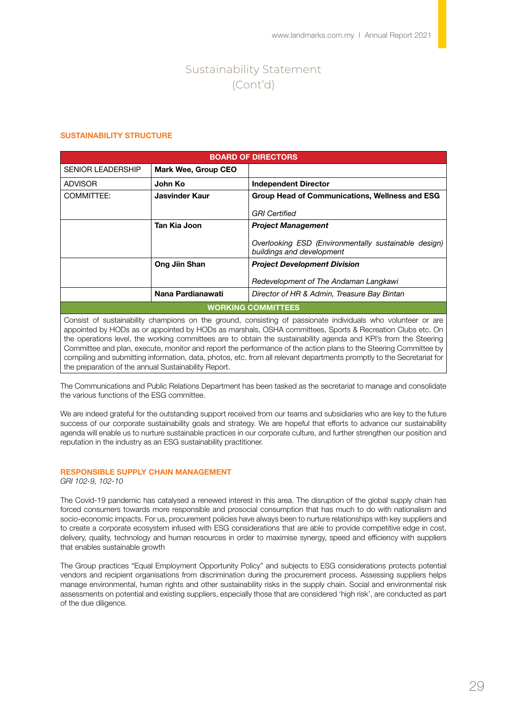#### SUSTAINABILITY STRUCTURE

|                           | <b>BOARD OF DIRECTORS</b> |                                                                                   |  |
|---------------------------|---------------------------|-----------------------------------------------------------------------------------|--|
| <b>SENIOR LEADERSHIP</b>  | Mark Wee, Group CEO       |                                                                                   |  |
| <b>ADVISOR</b>            | John Ko                   | <b>Independent Director</b>                                                       |  |
| COMMITTEE:                | Jasvinder Kaur            | Group Head of Communications, Wellness and ESG                                    |  |
|                           |                           | <b>GRI</b> Certified                                                              |  |
|                           | Tan Kia Joon              | <b>Project Management</b>                                                         |  |
|                           |                           | Overlooking ESD (Environmentally sustainable design)<br>buildings and development |  |
|                           | Ong Jiin Shan             | <b>Project Development Division</b>                                               |  |
|                           |                           | Redevelopment of The Andaman Langkawi                                             |  |
|                           | Nana Pardianawati         | Director of HR & Admin, Treasure Bay Bintan                                       |  |
| <b>WORKING COMMITTEES</b> |                           |                                                                                   |  |

Consist of sustainability champions on the ground, consisting of passionate individuals who volunteer or are appointed by HODs as or appointed by HODs as marshals, OSHA committees, Sports & Recreation Clubs etc. On the operations level, the working committees are to obtain the sustainability agenda and KPI's from the Steering Committee and plan, execute, monitor and report the performance of the action plans to the Steering Committee by compiling and submitting information, data, photos, etc. from all relevant departments promptly to the Secretariat for the preparation of the annual Sustainability Report.

The Communications and Public Relations Department has been tasked as the secretariat to manage and consolidate the various functions of the ESG committee.

We are indeed grateful for the outstanding support received from our teams and subsidiaries who are key to the future success of our corporate sustainability goals and strategy. We are hopeful that efforts to advance our sustainability agenda will enable us to nurture sustainable practices in our corporate culture, and further strengthen our position and reputation in the industry as an ESG sustainability practitioner.

### RESPONSIBLE SUPPLY CHAIN MANAGEMENT

*GRI 102-9, 102-10*

The Covid-19 pandemic has catalysed a renewed interest in this area. The disruption of the global supply chain has forced consumers towards more responsible and prosocial consumption that has much to do with nationalism and socio-economic impacts. For us, procurement policies have always been to nurture relationships with key suppliers and to create a corporate ecosystem infused with ESG considerations that are able to provide competitive edge in cost, delivery, quality, technology and human resources in order to maximise synergy, speed and efficiency with suppliers that enables sustainable growth

The Group practices "Equal Employment Opportunity Policy" and subjects to ESG considerations protects potential vendors and recipient organisations from discrimination during the procurement process. Assessing suppliers helps manage environmental, human rights and other sustainability risks in the supply chain. Social and environmental risk assessments on potential and existing suppliers, especially those that are considered 'high risk', are conducted as part of the due diligence.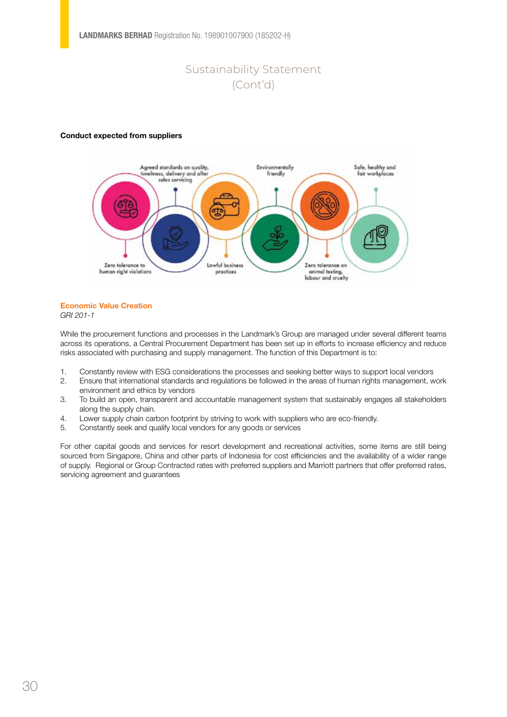#### Conduct expected from suppliers



### Economic Value Creation

*GRI 201-1*

While the procurement functions and processes in the Landmark's Group are managed under several different teams across its operations, a Central Procurement Department has been set up in efforts to increase efficiency and reduce risks associated with purchasing and supply management. The function of this Department is to:

- 1. Constantly review with ESG considerations the processes and seeking better ways to support local vendors
- 2. Ensure that international standards and regulations be followed in the areas of human rights management, work environment and ethics by vendors
- 3. To build an open, transparent and accountable management system that sustainably engages all stakeholders along the supply chain.
- 4. Lower supply chain carbon footprint by striving to work with suppliers who are eco-friendly.
- 5. Constantly seek and qualify local vendors for any goods or services

For other capital goods and services for resort development and recreational activities, some items are still being sourced from Singapore, China and other parts of Indonesia for cost efficiencies and the availability of a wider range of supply. Regional or Group Contracted rates with preferred suppliers and Marriott partners that offer preferred rates, servicing agreement and guarantees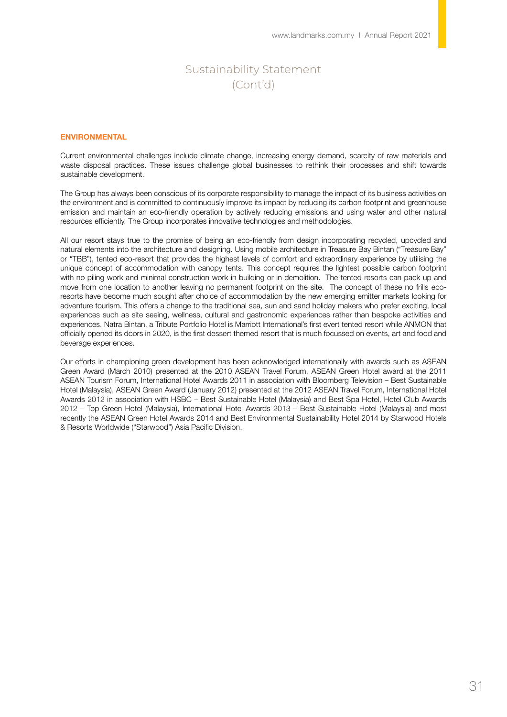#### ENVIRONMENTAL

Current environmental challenges include climate change, increasing energy demand, scarcity of raw materials and waste disposal practices. These issues challenge global businesses to rethink their processes and shift towards sustainable development.

The Group has always been conscious of its corporate responsibility to manage the impact of its business activities on the environment and is committed to continuously improve its impact by reducing its carbon footprint and greenhouse emission and maintain an eco-friendly operation by actively reducing emissions and using water and other natural resources efficiently. The Group incorporates innovative technologies and methodologies.

All our resort stays true to the promise of being an eco-friendly from design incorporating recycled, upcycled and natural elements into the architecture and designing. Using mobile architecture in Treasure Bay Bintan ("Treasure Bay" or "TBB"), tented eco-resort that provides the highest levels of comfort and extraordinary experience by utilising the unique concept of accommodation with canopy tents. This concept requires the lightest possible carbon footprint with no piling work and minimal construction work in building or in demolition. The tented resorts can pack up and move from one location to another leaving no permanent footprint on the site. The concept of these no frills ecoresorts have become much sought after choice of accommodation by the new emerging emitter markets looking for adventure tourism. This offers a change to the traditional sea, sun and sand holiday makers who prefer exciting, local experiences such as site seeing, wellness, cultural and gastronomic experiences rather than bespoke activities and experiences. Natra Bintan, a Tribute Portfolio Hotel is Marriott International's first evert tented resort while ANMON that officially opened its doors in 2020, is the first dessert themed resort that is much focussed on events, art and food and beverage experiences.

Our efforts in championing green development has been acknowledged internationally with awards such as ASEAN Green Award (March 2010) presented at the 2010 ASEAN Travel Forum, ASEAN Green Hotel award at the 2011 ASEAN Tourism Forum, International Hotel Awards 2011 in association with Bloomberg Television – Best Sustainable Hotel (Malaysia), ASEAN Green Award (January 2012) presented at the 2012 ASEAN Travel Forum, International Hotel Awards 2012 in association with HSBC – Best Sustainable Hotel (Malaysia) and Best Spa Hotel, Hotel Club Awards 2012 – Top Green Hotel (Malaysia), International Hotel Awards 2013 – Best Sustainable Hotel (Malaysia) and most recently the ASEAN Green Hotel Awards 2014 and Best Environmental Sustainability Hotel 2014 by Starwood Hotels & Resorts Worldwide ("Starwood") Asia Pacific Division.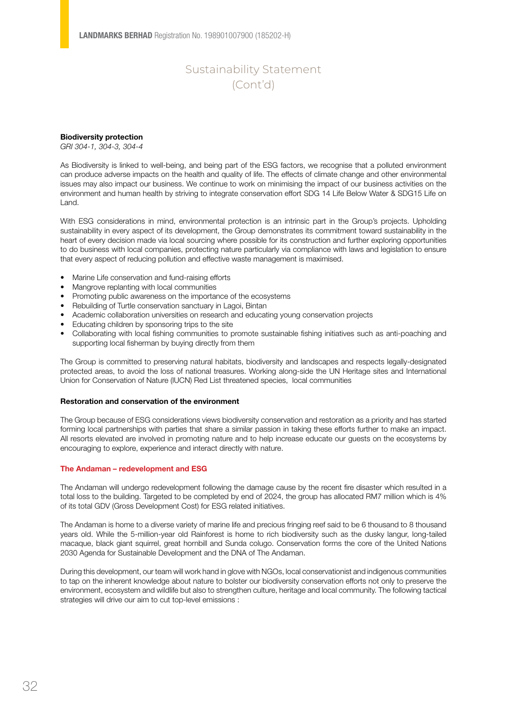#### Biodiversity protection

*GRI 304-1, 304-3, 304-4*

As Biodiversity is linked to well-being, and being part of the ESG factors, we recognise that a polluted environment can produce adverse impacts on the health and quality of life. The effects of climate change and other environmental issues may also impact our business. We continue to work on minimising the impact of our business activities on the environment and human health by striving to integrate conservation effort SDG 14 Life Below Water & SDG15 Life on Land.

With ESG considerations in mind, environmental protection is an intrinsic part in the Group's projects. Upholding sustainability in every aspect of its development, the Group demonstrates its commitment toward sustainability in the heart of every decision made via local sourcing where possible for its construction and further exploring opportunities to do business with local companies, protecting nature particularly via compliance with laws and legislation to ensure that every aspect of reducing pollution and effective waste management is maximised.

- Marine Life conservation and fund-raising efforts
- Mangrove replanting with local communities
- Promoting public awareness on the importance of the ecosystems
- Rebuilding of Turtle conservation sanctuary in Lagoi, Bintan
- Academic collaboration universities on research and educating young conservation projects
- Educating children by sponsoring trips to the site
- • Collaborating with local fishing communities to promote sustainable fishing initiatives such as anti-poaching and supporting local fisherman by buying directly from them

The Group is committed to preserving natural habitats, biodiversity and landscapes and respects legally-designated protected areas, to avoid the loss of national treasures. Working along-side the UN Heritage sites and International Union for Conservation of Nature (IUCN) Red List threatened species, local communities

#### Restoration and conservation of the environment

The Group because of ESG considerations views biodiversity conservation and restoration as a priority and has started forming local partnerships with parties that share a similar passion in taking these efforts further to make an impact. All resorts elevated are involved in promoting nature and to help increase educate our guests on the ecosystems by encouraging to explore, experience and interact directly with nature.

#### The Andaman – redevelopment and ESG

The Andaman will undergo redevelopment following the damage cause by the recent fire disaster which resulted in a total loss to the building. Targeted to be completed by end of 2024, the group has allocated RM7 million which is 4% of its total GDV (Gross Development Cost) for ESG related initiatives.

The Andaman is home to a diverse variety of marine life and precious fringing reef said to be 6 thousand to 8 thousand years old. While the 5-million-year old Rainforest is home to rich biodiversity such as the dusky langur, long-tailed macaque, black giant squirrel, great hornbill and Sunda colugo. Conservation forms the core of the United Nations 2030 Agenda for Sustainable Development and the DNA of The Andaman.

During this development, our team will work hand in glove with NGOs, local conservationist and indigenous communities to tap on the inherent knowledge about nature to bolster our biodiversity conservation efforts not only to preserve the environment, ecosystem and wildlife but also to strengthen culture, heritage and local community. The following tactical strategies will drive our aim to cut top-level emissions :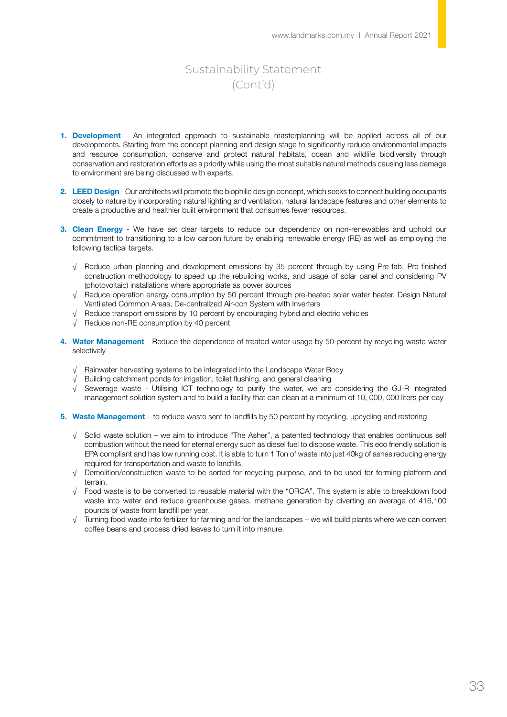- 1. Development An integrated approach to sustainable masterplanning will be applied across all of our developments. Starting from the concept planning and design stage to significantly reduce environmental impacts and resource consumption. conserve and protect natural habitats, ocean and wildlife biodiversity through conservation and restoration efforts as a priority while using the most suitable natural methods causing less damage to environment are being discussed with experts.
- 2. LEED Design Our architects will promote the biophilic design concept, which seeks to connect building occupants closely to nature by incorporating natural lighting and ventilation, natural landscape features and other elements to create a productive and healthier built environment that consumes fewer resources.
- 3. Clean Energy We have set clear targets to reduce our dependency on non-renewables and uphold our commitment to transitioning to a low carbon future by enabling renewable energy (RE) as well as employing the following tactical targets.
	- √ Reduce urban planning and development emissions by 35 percent through by using Pre-fab, Pre-finished construction methodology to speed up the rebuilding works, and usage of solar panel and considering PV (photovoltaic) installations where appropriate as power sources
	- √ Reduce operation energy consumption by 50 percent through pre-heated solar water heater, Design Natural Ventilated Common Areas, De-centralized Air-con System with Inverters
	- √ Reduce transport emissions by 10 percent by encouraging hybrid and electric vehicles
	- √ Reduce non-RE consumption by 40 percent
- 4. Water Management Reduce the dependence of treated water usage by 50 percent by recycling waste water selectively
	- √ Rainwater harvesting systems to be integrated into the Landscape Water Body
	- Building catchment ponds for irrigation, toilet flushing, and general cleaning
	- √ Sewerage waste Utilising ICT technology to purify the water, we are considering the GJ-R integrated management solution system and to build a facility that can clean at a minimum of 10, 000, 000 liters per day
- 5. Waste Management to reduce waste sent to landfills by 50 percent by recycling, upcycling and restoring
	- √ Solid waste solution we aim to introduce "The Asher", a patented technology that enables continuous self combustion without the need for eternal energy such as diesel fuel to dispose waste. This eco friendly solution is EPA compliant and has low running cost. It is able to turn 1 Ton of waste into just 40kg of ashes reducing energy required for transportation and waste to landfills.
	- √ Demolition/construction waste to be sorted for recycling purpose, and to be used for forming platform and terrain.
	- √ Food waste is to be converted to reusable material with the "ORCA". This system is able to breakdown food waste into water and reduce greenhouse gases, methane generation by diverting an average of 416,100 pounds of waste from landfill per year.
	- √ Turning food waste into fertilizer for farming and for the landscapes we will build plants where we can convert coffee beans and process dried leaves to turn it into manure.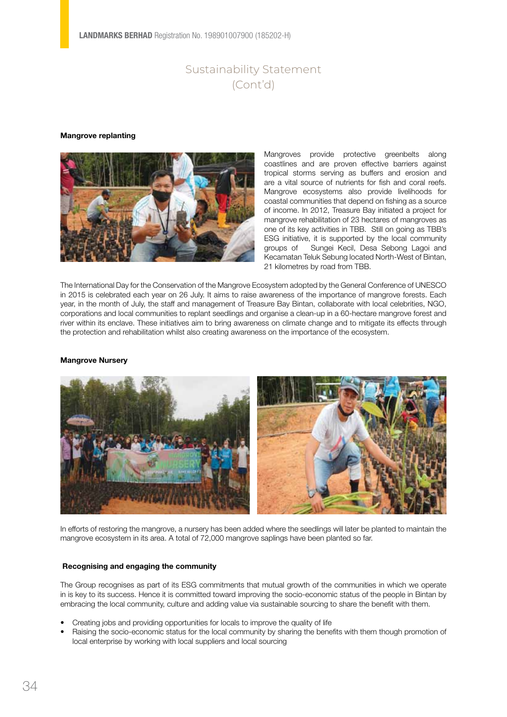#### Mangrove replanting



Mangroves provide protective greenbelts along coastlines and are proven effective barriers against tropical storms serving as buffers and erosion and are a vital source of nutrients for fish and coral reefs. Mangrove ecosystems also provide livelihoods for coastal communities that depend on fishing as a source of income. In 2012, Treasure Bay initiated a project for mangrove rehabilitation of 23 hectares of mangroves as one of its key activities in TBB. Still on going as TBB's ESG initiative, it is supported by the local community groups of Sungei Kecil, Desa Sebong Lagoi and Kecamatan Teluk Sebung located North-West of Bintan, 21 kilometres by road from TBB.

The International Day for the Conservation of the Mangrove Ecosystem adopted by the General Conference of UNESCO in 2015 is celebrated each year on 26 July. It aims to raise awareness of the importance of mangrove forests. Each year, in the month of July, the staff and management of Treasure Bay Bintan, collaborate with local celebrities, NGO, corporations and local communities to replant seedlings and organise a clean-up in a 60-hectare mangrove forest and river within its enclave. These initiatives aim to bring awareness on climate change and to mitigate its effects through the protection and rehabilitation whilst also creating awareness on the importance of the ecosystem.

#### Mangrove Nursery



In efforts of restoring the mangrove, a nursery has been added where the seedlings will later be planted to maintain the mangrove ecosystem in its area. A total of 72,000 mangrove saplings have been planted so far.

#### Recognising and engaging the community

The Group recognises as part of its ESG commitments that mutual growth of the communities in which we operate in is key to its success. Hence it is committed toward improving the socio-economic status of the people in Bintan by embracing the local community, culture and adding value via sustainable sourcing to share the benefit with them.

- Creating jobs and providing opportunities for locals to improve the quality of life
- Raising the socio-economic status for the local community by sharing the benefits with them though promotion of local enterprise by working with local suppliers and local sourcing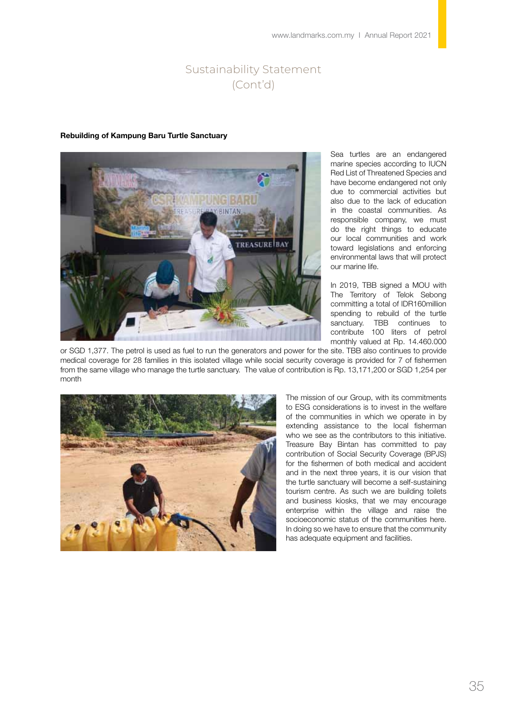#### Rebuilding of Kampung Baru Turtle Sanctuary



Sea turtles are an endangered marine species according to IUCN Red List of Threatened Species and have become endangered not only due to commercial activities but also due to the lack of education in the coastal communities. As responsible company, we must do the right things to educate our local communities and work toward legislations and enforcing environmental laws that will protect our marine life.

In 2019, TBB signed a MOU with The Territory of Telok Sebong committing a total of IDR160million spending to rebuild of the turtle sanctuary. TBB continues to contribute 100 liters of petrol monthly valued at Rp. 14.460.000

or SGD 1,377. The petrol is used as fuel to run the generators and power for the site. TBB also continues to provide medical coverage for 28 families in this isolated village while social security coverage is provided for 7 of fishermen from the same village who manage the turtle sanctuary. The value of contribution is Rp. 13,171,200 or SGD 1,254 per month



The mission of our Group, with its commitments to ESG considerations is to invest in the welfare of the communities in which we operate in by extending assistance to the local fisherman who we see as the contributors to this initiative. Treasure Bay Bintan has committed to pay contribution of Social Security Coverage (BPJS) for the fishermen of both medical and accident and in the next three years, it is our vision that the turtle sanctuary will become a self-sustaining tourism centre. As such we are building toilets and business kiosks, that we may encourage enterprise within the village and raise the socioeconomic status of the communities here. In doing so we have to ensure that the community has adequate equipment and facilities.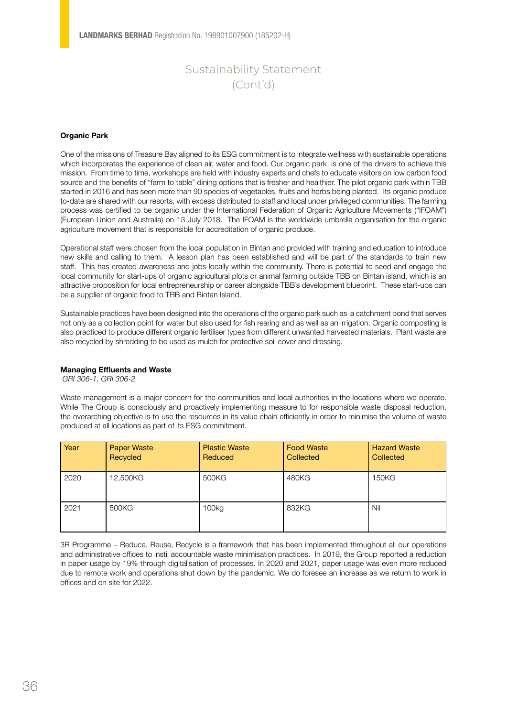#### Organic Park

One of the missions of Treasure Bay aligned to its ESG commitment is to integrate wellness with sustainable operations which incorporates the experience of clean air, water and food. Our organic park is one of the drivers to achieve this mission. From time to time, workshops are held with industry experts and chefs to educate visitors on low carbon food source and the benefits of "farm to table" dining options that is fresher and healthier. The pilot organic park within TBB started in 2016 and has seen more than 90 species of vegetables, fruits and herbs being planted. Its organic produce to-date are shared with our resorts, with excess distributed to staff and local under privileged communities. The farming process was certified to be organic under the International Federation of Organic Agriculture Movements ("IFOAM") (European Union and Australia) on 13 July 2018. The IFOAM is the worldwide umbrella organisation for the organic agriculture movement that is responsible for accreditation of organic produce.

Operational staff were chosen from the local population in Bintan and provided with training and education to introduce new skills and calling to them. A lesson plan has been established and will be part of the standards to train new staff. This has created awareness and jobs locally within the community. There is potential to seed and engage the local community for start-ups of organic agricultural plots or animal farming outside TBB on Bintan island, which is an attractive proposition for local entrepreneurship or career alongside TBB's development blueprint. These start-ups can be a supplier of organic food to TBB and Bintan Island.

Sustainable practices have been designed into the operations of the organic park such as a catchment pond that serves not only as a collection point for water but also used for fish rearing and as well as an irrigation. Organic composting is also practiced to produce different organic fertiliser types from different unwanted harvested materials. Plant waste are also recycled by shredding to be used as mulch for protective soil cover and dressing.

#### Managing Effluents and Waste

 *GRI 306-1, GRI 306-2*

Waste management is a major concern for the communities and local authorities in the locations where we operate. While The Group is consciously and proactively implementing measure to for responsible waste disposal reduction, the overarching objective is to use the resources in its value chain efficiently in order to minimise the volume of waste produced at all locations as part of its ESG commitment.

| Year | <b>Paper Waste</b><br>Recycled | <b>Plastic Waste</b><br>Reduced | <b>Food Waste</b><br>Collected | <b>Hazard Waste</b><br><b>Collected</b> |
|------|--------------------------------|---------------------------------|--------------------------------|-----------------------------------------|
| 2020 | 12,500KG                       | 500KG                           | 480KG                          | 150KG                                   |
| 2021 | 500KG                          | 100kg                           | 832KG                          | Nil                                     |

3R Programme – Reduce, Reuse, Recycle is a framework that has been implemented throughout all our operations and administrative offices to instil accountable waste minimisation practices. In 2019, the Group reported a reduction in paper usage by 19% through digitalisation of processes. In 2020 and 2021, paper usage was even more reduced due to remote work and operations shut down by the pandemic. We do foresee an increase as we return to work in offices and on site for 2022.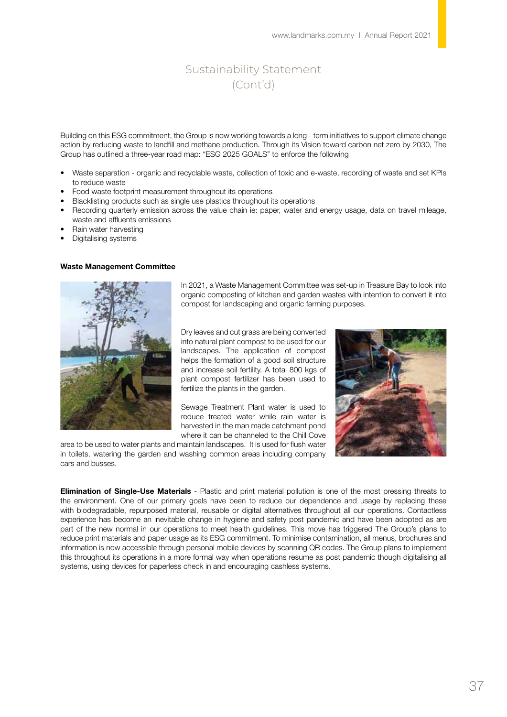Building on this ESG commitment, the Group is now working towards a long - term initiatives to support climate change action by reducing waste to landfill and methane production. Through its Vision toward carbon net zero by 2030, The Group has outlined a three-year road map: "ESG 2025 GOALS" to enforce the following

- Waste separation organic and recyclable waste, collection of toxic and e-waste, recording of waste and set KPIs to reduce waste
- Food waste footprint measurement throughout its operations
- Blacklisting products such as single use plastics throughout its operations
- Recording quarterly emission across the value chain ie: paper, water and energy usage, data on travel mileage, waste and affluents emissions
- Rain water harvesting
- Digitalising systems

#### Waste Management Committee



In 2021, a Waste Management Committee was set-up in Treasure Bay to look into organic composting of kitchen and garden wastes with intention to convert it into compost for landscaping and organic farming purposes.

Dry leaves and cut grass are being converted into natural plant compost to be used for our landscapes. The application of compost helps the formation of a good soil structure and increase soil fertility. A total 800 kgs of plant compost fertilizer has been used to fertilize the plants in the garden.

Sewage Treatment Plant water is used to reduce treated water while rain water is harvested in the man made catchment pond where it can be channeled to the Chill Cove



area to be used to water plants and maintain landscapes. It is used for flush water in toilets, watering the garden and washing common areas including company cars and busses.

**Elimination of Single-Use Materials** - Plastic and print material pollution is one of the most pressing threats to the environment. One of our primary goals have been to reduce our dependence and usage by replacing these with biodegradable, repurposed material, reusable or digital alternatives throughout all our operations. Contactless experience has become an inevitable change in hygiene and safety post pandemic and have been adopted as are part of the new normal in our operations to meet health guidelines. This move has triggered The Group's plans to reduce print materials and paper usage as its ESG commitment. To minimise contamination, all menus, brochures and information is now accessible through personal mobile devices by scanning QR codes. The Group plans to implement this throughout its operations in a more formal way when operations resume as post pandemic though digitalising all systems, using devices for paperless check in and encouraging cashless systems.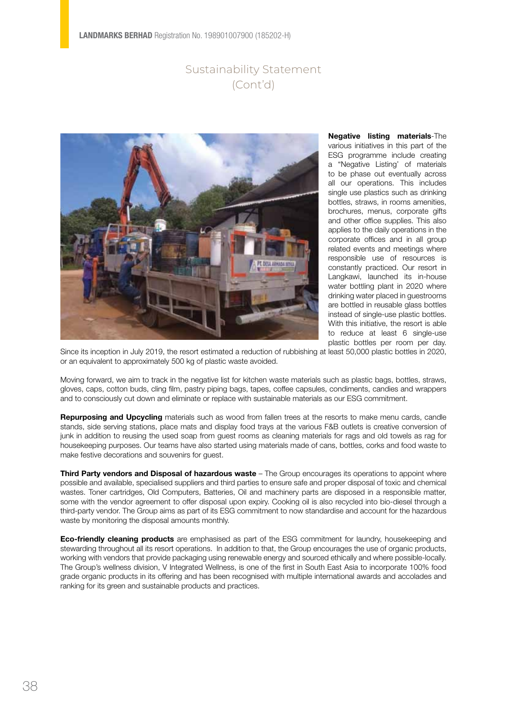

Negative listing materials-The various initiatives in this part of the ESG programme include creating a "Negative Listing' of materials to be phase out eventually across all our operations. This includes single use plastics such as drinking bottles, straws, in rooms amenities, brochures, menus, corporate gifts and other office supplies. This also applies to the daily operations in the corporate offices and in all group related events and meetings where responsible use of resources is constantly practiced. Our resort in Langkawi, launched its in-house water bottling plant in 2020 where drinking water placed in guestrooms are bottled in reusable glass bottles instead of single-use plastic bottles. With this initiative, the resort is able to reduce at least 6 single-use plastic bottles per room per day.

Since its inception in July 2019, the resort estimated a reduction of rubbishing at least 50,000 plastic bottles in 2020, or an equivalent to approximately 500 kg of plastic waste avoided.

Moving forward, we aim to track in the negative list for kitchen waste materials such as plastic bags, bottles, straws, gloves, caps, cotton buds, cling film, pastry piping bags, tapes, coffee capsules, condiments, candies and wrappers and to consciously cut down and eliminate or replace with sustainable materials as our ESG commitment.

Repurposing and Upcycling materials such as wood from fallen trees at the resorts to make menu cards, candle stands, side serving stations, place mats and display food trays at the various F&B outlets is creative conversion of junk in addition to reusing the used soap from guest rooms as cleaning materials for rags and old towels as rag for housekeeping purposes. Our teams have also started using materials made of cans, bottles, corks and food waste to make festive decorations and souvenirs for guest.

Third Party vendors and Disposal of hazardous waste – The Group encourages its operations to appoint where possible and available, specialised suppliers and third parties to ensure safe and proper disposal of toxic and chemical wastes. Toner cartridges, Old Computers, Batteries, Oil and machinery parts are disposed in a responsible matter, some with the vendor agreement to offer disposal upon expiry. Cooking oil is also recycled into bio-diesel through a third-party vendor. The Group aims as part of its ESG commitment to now standardise and account for the hazardous waste by monitoring the disposal amounts monthly.

**Eco-friendly cleaning products** are emphasised as part of the ESG commitment for laundry, housekeeping and stewarding throughout all its resort operations. In addition to that, the Group encourages the use of organic products, working with vendors that provide packaging using renewable energy and sourced ethically and where possible-locally. The Group's wellness division, V Integrated Wellness, is one of the first in South East Asia to incorporate 100% food grade organic products in its offering and has been recognised with multiple international awards and accolades and ranking for its green and sustainable products and practices.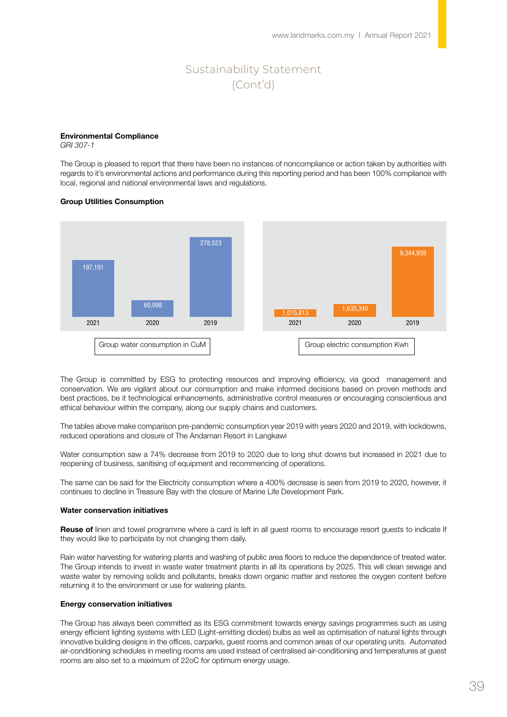#### Environmental Compliance

*GRI 307-1* 

The Group is pleased to report that there have been no instances of noncompliance or action taken by authorities with regards to it's environmental actions and performance during this reporting period and has been 100% compliance with local, regional and national environmental laws and regulations.

#### Group Utilities Consumption



The Group is committed by ESG to protecting resources and improving efficiency, via good management and conservation. We are vigilant about our consumption and make informed decisions based on proven methods and best practices, be it technological enhancements, administrative control measures or encouraging conscientious and ethical behaviour within the company, along our supply chains and customers.

The tables above make comparison pre-pandemic consumption year 2019 with years 2020 and 2019, with lockdowns, reduced operations and closure of The Andaman Resort in Langkawi

Water consumption saw a 74% decrease from 2019 to 2020 due to long shut downs but increased in 2021 due to reopening of business, sanitising of equipment and recommencing of operations.

The same can be said for the Electricity consumption where a 400% decrease is seen from 2019 to 2020, however, it continues to decline in Treasure Bay with the closure of Marine Life Development Park.

#### Water conservation initiatives

Reuse of linen and towel programme where a card is left in all guest rooms to encourage resort guests to indicate If they would like to participate by not changing them daily.

Rain water harvesting for watering plants and washing of public area floors to reduce the dependence of treated water. The Group intends to invest in waste water treatment plants in all its operations by 2025. This will clean sewage and waste water by removing solids and pollutants, breaks down organic matter and restores the oxygen content before returning it to the environment or use for watering plants.

#### Energy conservation initiatives

The Group has always been committed as its ESG commitment towards energy savings programmes such as using energy efficient lighting systems with LED (Light-emitting diodes) bulbs as well as optimisation of natural lights through innovative building designs in the offices, carparks, guest rooms and common areas of our operating units. Automated air-conditioning schedules in meeting rooms are used instead of centralised air-conditioning and temperatures at guest rooms are also set to a maximum of 22oC for optimum energy usage.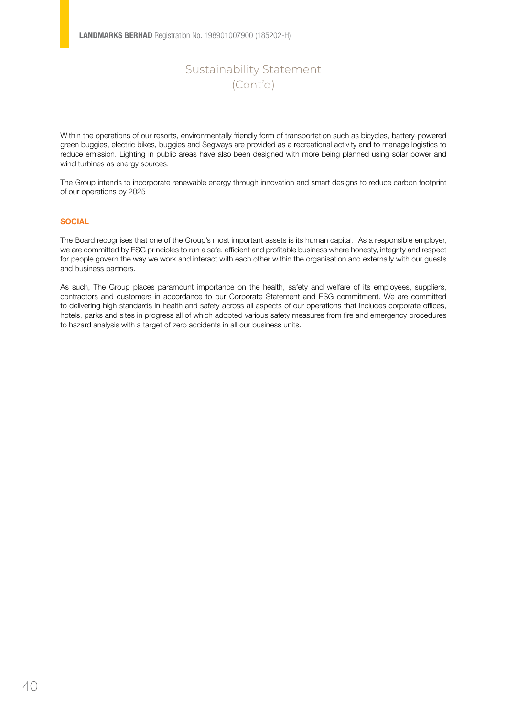Within the operations of our resorts, environmentally friendly form of transportation such as bicycles, battery-powered green buggies, electric bikes, buggies and Segways are provided as a recreational activity and to manage logistics to reduce emission. Lighting in public areas have also been designed with more being planned using solar power and wind turbines as energy sources.

The Group intends to incorporate renewable energy through innovation and smart designs to reduce carbon footprint of our operations by 2025

### **SOCIAL**

The Board recognises that one of the Group's most important assets is its human capital. As a responsible employer, we are committed by ESG principles to run a safe, efficient and profitable business where honesty, integrity and respect for people govern the way we work and interact with each other within the organisation and externally with our guests and business partners.

As such, The Group places paramount importance on the health, safety and welfare of its employees, suppliers, contractors and customers in accordance to our Corporate Statement and ESG commitment. We are committed to delivering high standards in health and safety across all aspects of our operations that includes corporate offices, hotels, parks and sites in progress all of which adopted various safety measures from fire and emergency procedures to hazard analysis with a target of zero accidents in all our business units.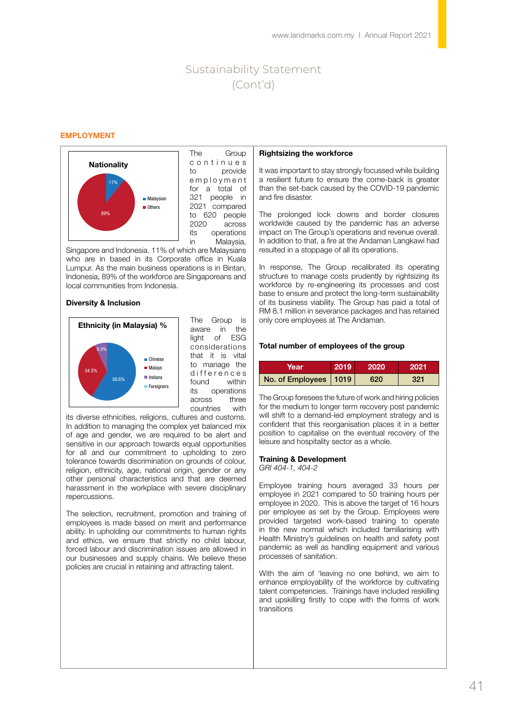#### EMPLOYMENT



The Group c o n t i n u e s to provide e m p l o y m e n t for a total of 321 people in 2021 compared to 620 people 2020 across its operations in Malaysia,

Singapore and Indonesia. 11% of which are Malaysians who are in based in its Corporate office in Kuala Lumpur. As the main business operations is in Bintan, Indonesia, 89% of the workforce are Singaporeans and local communities from Indonesia.

#### Diversity & Inclusion



The Group is aware in the light of ESG considerations that it is vital to manage the d ifferences found within its operations across three countries with

its diverse ethnicities, religions, cultures and customs. In addition to managing the complex yet balanced mix of age and gender, we are required to be alert and sensitive in our approach towards equal opportunities for all and our commitment to upholding to zero tolerance towards discrimination on grounds of colour, religion, ethnicity, age, national origin, gender or any other personal characteristics and that are deemed harassment in the workplace with severe disciplinary repercussions.

The selection, recruitment, promotion and training of employees is made based on merit and performance ability. In upholding our commitments to human rights and ethics, we ensure that strictly no child labour, forced labour and discrimination issues are allowed in our businesses and supply chains. We believe these policies are crucial in retaining and attracting talent.

#### Rightsizing the workforce

It was important to stay strongly focussed while building a resilient future to ensure the come-back is greater than the set-back caused by the COVID-19 pandemic and fire disaster.

The prolonged lock downs and border closures worldwide caused by the pandemic has an adverse impact on The Group's operations and revenue overall. In addition to that, a fire at the Andaman Langkawi had resulted in a stoppage of all its operations.

In response, The Group recalibrated its operating structure to manage costs prudently by rightsizing its workforce by re-engineering its processes and cost base to ensure and protect the long-term sustainability of its business viability. The Group has paid a total of RM 8.1 million in severance packages and has retained only core employees at The Andaman.

#### Total number of employees of the group

| Year                    | 2019 | 2020 | 2021 |
|-------------------------|------|------|------|
| No. of Employees   1019 |      | 620  | 321  |

The Group foresees the future of work and hiring policies for the medium to longer term recovery post pandemic will shift to a demand-led employment strategy and is confident that this reorganisation places it in a better position to capitalise on the eventual recovery of the leisure and hospitality sector as a whole.

#### Training & Development

*GRI 404-1, 404-2*

Employee training hours averaged 33 hours per employee in 2021 compared to 50 training hours per employee in 2020. This is above the target of 16 hours per employee as set by the Group. Employees were provided targeted work-based training to operate in the new normal which included familiarising with Health Ministry's guidelines on health and safety post pandemic as well as handling equipment and various processes of sanitation.

With the aim of 'leaving no one behind, we aim to enhance employability of the workforce by cultivating talent competencies. Trainings have included reskilling and upskilling firstly to cope with the forms of work transitions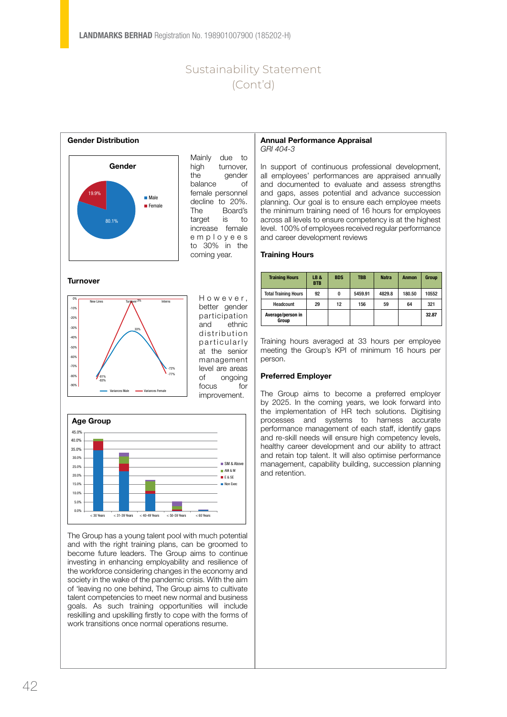

Mainly due to high turnover, the gender balance of female personnel decline to 20%. The Board's target is to increase female e m p l o y e e s to 30% in the coming year.

#### **Turnover**



H o w e v e r , better gender participation and ethnic distribution p articularly at the senior management level are areas of ongoing focus for improvement.



The Group has a young talent pool with much potential and with the right training plans, can be groomed to become future leaders. The Group aims to continue investing in enhancing employability and resilience of the workforce considering changes in the economy and society in the wake of the pandemic crisis. With the aim of 'leaving no one behind, The Group aims to cultivate talent competencies to meet new normal and business goals. As such training opportunities will include reskilling and upskilling firstly to cope with the forms of work transitions once normal operations resume.

#### Annual Performance Appraisal *GRI 404-3*

In support of continuous professional development, all employees' performances are appraised annually and documented to evaluate and assess strengths and gaps, asses potential and advance succession planning. Our goal is to ensure each employee meets the minimum training need of 16 hours for employees across all levels to ensure competency is at the highest level. 100% of employees received regular performance and career development reviews

#### Training Hours

| <b>Training Hours</b>       | LB&<br><b>BTB</b> | <b>BDS</b> | <b>TBB</b> | <b>Natra</b> | <b>Anmon</b> | <b>Group</b> |
|-----------------------------|-------------------|------------|------------|--------------|--------------|--------------|
| <b>Total Training Hours</b> | 92                | $\bf{0}$   | 5459.91    | 4829.8       | 180.50       | 10552        |
| Headcount                   | 29                | 12         | 156        | 59           | 64           | 321          |
| Average/person in<br>Group  |                   |            |            |              |              | 32.87        |

Training hours averaged at 33 hours per employee meeting the Group's KPI of minimum 16 hours per person.

### Preferred Employer

The Group aims to become a preferred employer by 2025. In the coming years, we look forward into the implementation of HR tech solutions. Digitising processes and systems to harness accurate performance management of each staff, identify gaps and re-skill needs will ensure high competency levels, healthy career development and our ability to attract and retain top talent. It will also optimise performance management, capability building, succession planning and retention.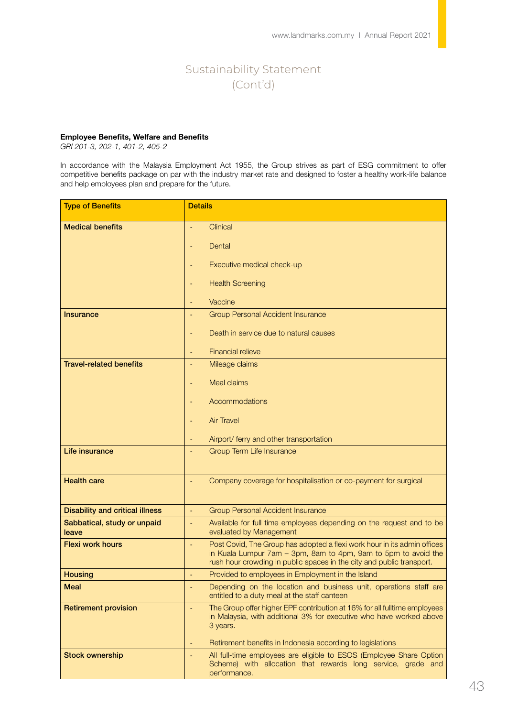### Employee Benefits, Welfare and Benefits

*GRI 201-3, 202-1, 401-2, 405-2*

In accordance with the Malaysia Employment Act 1955, the Group strives as part of ESG commitment to offer competitive benefits package on par with the industry market rate and designed to foster a healthy work-life balance and help employees plan and prepare for the future.

| <b>Type of Benefits</b>                | <b>Details</b>                                                                                                                                                                                                      |
|----------------------------------------|---------------------------------------------------------------------------------------------------------------------------------------------------------------------------------------------------------------------|
| <b>Medical benefits</b>                | Clinical                                                                                                                                                                                                            |
|                                        | Dental                                                                                                                                                                                                              |
|                                        |                                                                                                                                                                                                                     |
|                                        | Executive medical check-up                                                                                                                                                                                          |
|                                        | <b>Health Screening</b>                                                                                                                                                                                             |
|                                        | Vaccine                                                                                                                                                                                                             |
| Insurance                              | <b>Group Personal Accident Insurance</b>                                                                                                                                                                            |
|                                        | Death in service due to natural causes                                                                                                                                                                              |
|                                        | <b>Financial relieve</b>                                                                                                                                                                                            |
| <b>Travel-related benefits</b>         | Mileage claims                                                                                                                                                                                                      |
|                                        | <b>Meal claims</b>                                                                                                                                                                                                  |
|                                        | Accommodations                                                                                                                                                                                                      |
|                                        | <b>Air Travel</b>                                                                                                                                                                                                   |
|                                        | Airport/ ferry and other transportation                                                                                                                                                                             |
| Life insurance                         | <b>Group Term Life Insurance</b>                                                                                                                                                                                    |
| <b>Health care</b>                     | Company coverage for hospitalisation or co-payment for surgical                                                                                                                                                     |
| <b>Disability and critical illness</b> | <b>Group Personal Accident Insurance</b><br>÷,                                                                                                                                                                      |
| Sabbatical, study or unpaid<br>leave   | Available for full time employees depending on the request and to be<br>÷,<br>evaluated by Management                                                                                                               |
| <b>Flexi work hours</b>                | Post Covid, The Group has adopted a flexi work hour in its admin offices<br>in Kuala Lumpur 7am - 3pm, 8am to 4pm, 9am to 5pm to avoid the<br>rush hour crowding in public spaces in the city and public transport. |
| <b>Housing</b>                         | Provided to employees in Employment in the Island<br>÷,                                                                                                                                                             |
| <b>Meal</b>                            | Depending on the location and business unit, operations staff are<br>entitled to a duty meal at the staff canteen                                                                                                   |
| <b>Retirement provision</b>            | The Group offer higher EPF contribution at 16% for all fulltime employees<br>in Malaysia, with additional 3% for executive who have worked above<br>3 years.                                                        |
|                                        | Retirement benefits in Indonesia according to legislations                                                                                                                                                          |
| <b>Stock ownership</b>                 | All full-time employees are eligible to ESOS (Employee Share Option<br>Scheme) with allocation that rewards long service, grade and<br>performance.                                                                 |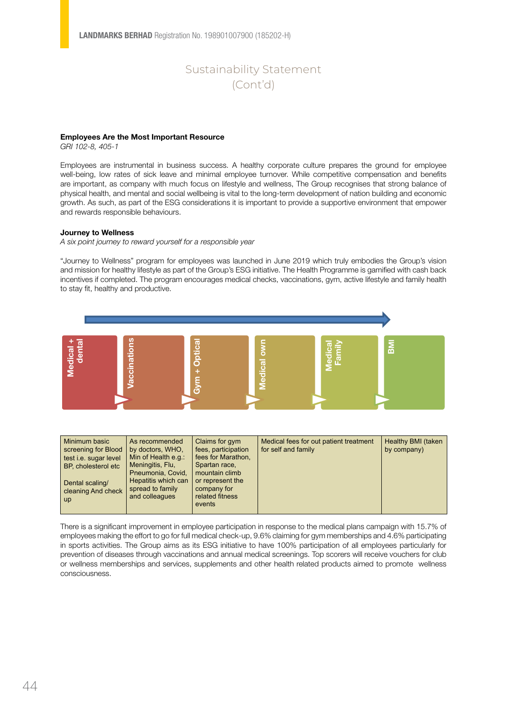#### Employees Are the Most Important Resource

*GRI 102-8, 405-1*

Employees are instrumental in business success. A healthy corporate culture prepares the ground for employee well-being, low rates of sick leave and minimal employee turnover. While competitive compensation and benefits are important, as company with much focus on lifestyle and wellness, The Group recognises that strong balance of physical health, and mental and social wellbeing is vital to the long-term development of nation building and economic growth. As such, as part of the ESG considerations it is important to provide a supportive environment that empower and rewards responsible behaviours.

#### Journey to Wellness

*A six point journey to reward yourself for a responsible year* 

"Journey to Wellness" program for employees was launched in June 2019 which truly embodies the Group's vision and mission for healthy lifestyle as part of the Group's ESG initiative. The Health Programme is gamified with cash back incentives if completed. The program encourages medical checks, vaccinations, gym, active lifestyle and family health to stay fit, healthy and productive.



| Minimum basic<br>screening for Blood<br>test i.e. sugar level<br>BP, cholesterol etc<br>Dental scaling/<br>cleaning And check | As recommended<br>by doctors, WHO,<br>Min of Health e.g.:<br>Meningitis, Flu,<br>Pneumonia, Covid,<br>Hepatitis which can<br>spread to family | Claims for gym<br>fees, participation<br>fees for Marathon,<br>Spartan race,<br>mountain climb<br>or represent the<br>company for | Medical fees for out patient treatment<br>for self and family | Healthy BMI (taken<br>by company) |
|-------------------------------------------------------------------------------------------------------------------------------|-----------------------------------------------------------------------------------------------------------------------------------------------|-----------------------------------------------------------------------------------------------------------------------------------|---------------------------------------------------------------|-----------------------------------|
| up                                                                                                                            | and colleagues                                                                                                                                | related fitness<br>events                                                                                                         |                                                               |                                   |

There is a significant improvement in employee participation in response to the medical plans campaign with 15.7% of employees making the effort to go for full medical check-up, 9.6% claiming for gym memberships and 4.6% participating in sports activities. The Group aims as its ESG initiative to have 100% participation of all employees particularly for prevention of diseases through vaccinations and annual medical screenings. Top scorers will receive vouchers for club or wellness memberships and services, supplements and other health related products aimed to promote wellness consciousness.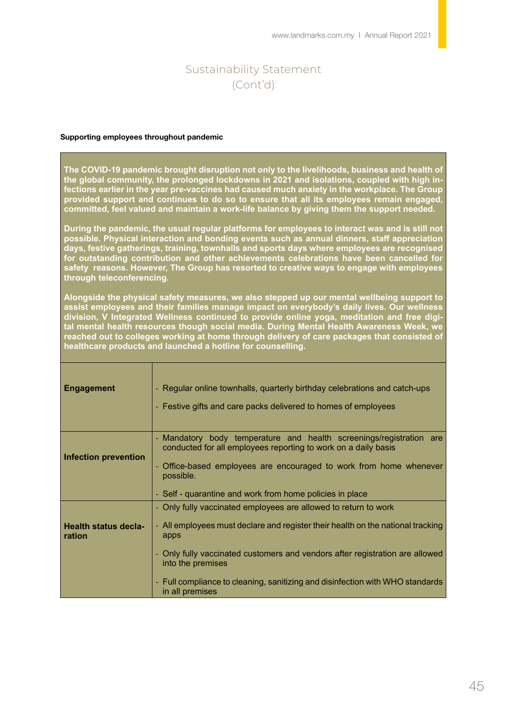#### Supporting employees throughout pandemic

**The COVID-19 pandemic brought disruption not only to the livelihoods, business and health of the global community, the prolonged lockdowns in 2021 and isolations, coupled with high infections earlier in the year pre-vaccines had caused much anxiety in the workplace. The Group provided support and continues to do so to ensure that all its employees remain engaged, committed, feel valued and maintain a work-life balance by giving them the support needed.** 

**During the pandemic, the usual regular platforms for employees to interact was and is still not possible. Physical interaction and bonding events such as annual dinners, staff appreciation days, festive gatherings, training, townhalls and sports days where employees are recognised for outstanding contribution and other achievements celebrations have been cancelled for safety reasons. However, The Group has resorted to creative ways to engage with employees through teleconferencing.** 

**Alongside the physical safety measures, we also stepped up our mental wellbeing support to assist employees and their families manage impact on everybody's daily lives. Our wellness division, V Integrated Wellness continued to provide online yoga, meditation and free digital mental health resources though social media. During Mental Health Awareness Week, we reached out to colleges working at home through delivery of care packages that consisted of healthcare products and launched a hotline for counselling.**

| <b>Engagement</b>                     | - Regular online townhalls, quarterly birthday celebrations and catch-ups<br>Festive gifts and care packs delivered to homes of employees<br>٠                                                                                                                                                                                                                  |
|---------------------------------------|-----------------------------------------------------------------------------------------------------------------------------------------------------------------------------------------------------------------------------------------------------------------------------------------------------------------------------------------------------------------|
| <b>Infection prevention</b>           | Mandatory body temperature and health screenings/registration are<br>٠<br>conducted for all employees reporting to work on a daily basis<br>Office-based employees are encouraged to work from home whenever<br>possible.<br>- Self - quarantine and work from home policies in place                                                                           |
| <b>Health status decla-</b><br>ration | - Only fully vaccinated employees are allowed to return to work<br>- All employees must declare and register their health on the national tracking<br>apps<br>Only fully vaccinated customers and vendors after registration are allowed<br>into the premises<br>Full compliance to cleaning, sanitizing and disinfection with WHO standards<br>in all premises |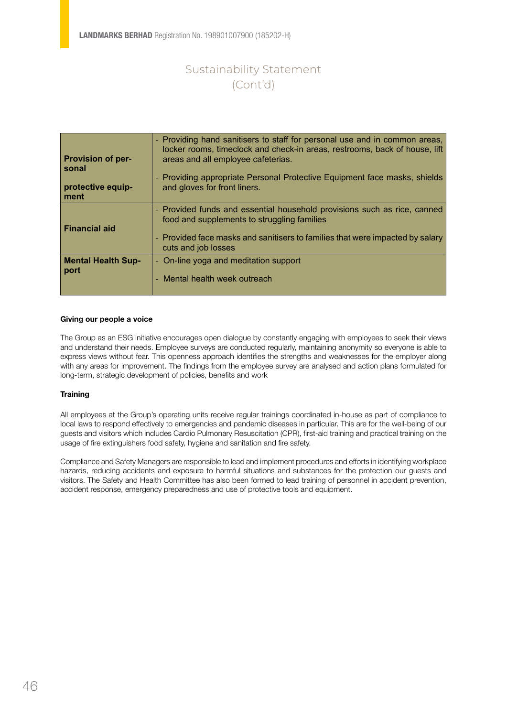| <b>Provision of per-</b><br>sonal<br>protective equip-<br>ment | - Providing hand sanitisers to staff for personal use and in common areas,<br>locker rooms, timeclock and check-in areas, restrooms, back of house, lift<br>areas and all employee cafeterias.<br>- Providing appropriate Personal Protective Equipment face masks, shields<br>and gloves for front liners. |
|----------------------------------------------------------------|-------------------------------------------------------------------------------------------------------------------------------------------------------------------------------------------------------------------------------------------------------------------------------------------------------------|
| <b>Financial aid</b>                                           | - Provided funds and essential household provisions such as rice, canned<br>food and supplements to struggling families<br>- Provided face masks and sanitisers to families that were impacted by salary<br>cuts and job losses                                                                             |
| <b>Mental Health Sup-</b><br>port                              | - On-line yoga and meditation support<br>- Mental health week outreach                                                                                                                                                                                                                                      |

#### Giving our people a voice

The Group as an ESG initiative encourages open dialogue by constantly engaging with employees to seek their views and understand their needs. Employee surveys are conducted regularly, maintaining anonymity so everyone is able to express views without fear. This openness approach identifies the strengths and weaknesses for the employer along with any areas for improvement. The findings from the employee survey are analysed and action plans formulated for long-term, strategic development of policies, benefits and work

#### **Training**

All employees at the Group's operating units receive regular trainings coordinated in-house as part of compliance to local laws to respond effectively to emergencies and pandemic diseases in particular. This are for the well-being of our guests and visitors which includes Cardio Pulmonary Resuscitation (CPR), first-aid training and practical training on the usage of fire extinguishers food safety, hygiene and sanitation and fire safety.

Compliance and Safety Managers are responsible to lead and implement procedures and efforts in identifying workplace hazards, reducing accidents and exposure to harmful situations and substances for the protection our guests and visitors. The Safety and Health Committee has also been formed to lead training of personnel in accident prevention, accident response, emergency preparedness and use of protective tools and equipment.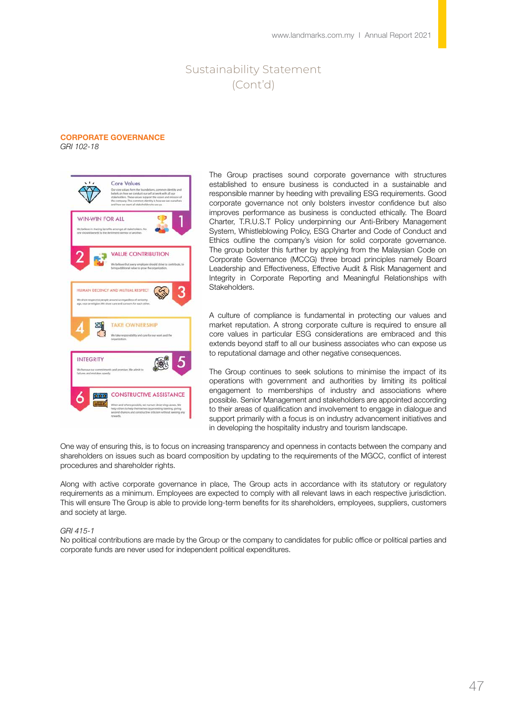#### CORPORATE GOVERNANCE *GRI 102-18*



The Group practises sound corporate governance with structures established to ensure business is conducted in a sustainable and responsible manner by heeding with prevailing ESG requirements. Good corporate governance not only bolsters investor confidence but also improves performance as business is conducted ethically. The Board Charter, T.R.U.S.T Policy underpinning our Anti-Bribery Management System, Whistleblowing Policy, ESG Charter and Code of Conduct and Ethics outline the company's vision for solid corporate governance. The group bolster this further by applying from the Malaysian Code on Corporate Governance (MCCG) three broad principles namely Board Leadership and Effectiveness, Effective Audit & Risk Management and Integrity in Corporate Reporting and Meaningful Relationships with Stakeholders.

A culture of compliance is fundamental in protecting our values and market reputation. A strong corporate culture is required to ensure all core values in particular ESG considerations are embraced and this extends beyond staff to all our business associates who can expose us to reputational damage and other negative consequences.

The Group continues to seek solutions to minimise the impact of its operations with government and authorities by limiting its political engagement to memberships of industry and associations where possible. Senior Management and stakeholders are appointed according to their areas of qualification and involvement to engage in dialogue and support primarily with a focus is on industry advancement initiatives and in developing the hospitality industry and tourism landscape.

One way of ensuring this, is to focus on increasing transparency and openness in contacts between the company and shareholders on issues such as board composition by updating to the requirements of the MGCC, conflict of interest procedures and shareholder rights.

Along with active corporate governance in place, The Group acts in accordance with its statutory or regulatory requirements as a minimum. Employees are expected to comply with all relevant laws in each respective jurisdiction. This will ensure The Group is able to provide long-term benefits for its shareholders, employees, suppliers, customers and society at large.

#### *GRI 415-1*

No political contributions are made by the Group or the company to candidates for public office or political parties and corporate funds are never used for independent political expenditures.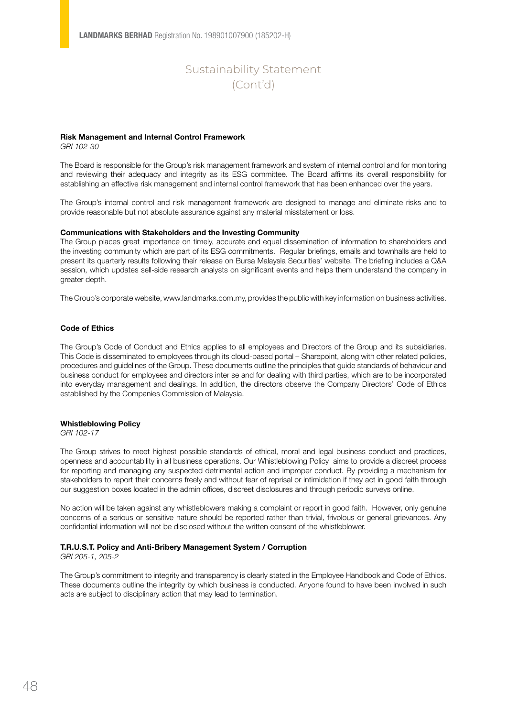#### Risk Management and Internal Control Framework

*GRI 102-30*

The Board is responsible for the Group's risk management framework and system of internal control and for monitoring and reviewing their adequacy and integrity as its ESG committee. The Board affirms its overall responsibility for establishing an effective risk management and internal control framework that has been enhanced over the years.

The Group's internal control and risk management framework are designed to manage and eliminate risks and to provide reasonable but not absolute assurance against any material misstatement or loss.

#### Communications with Stakeholders and the Investing Community

The Group places great importance on timely, accurate and equal dissemination of information to shareholders and the investing community which are part of its ESG commitments. Regular briefings, emails and townhalls are held to present its quarterly results following their release on Bursa Malaysia Securities' website. The briefing includes a Q&A session, which updates sell-side research analysts on significant events and helps them understand the company in greater depth.

The Group's corporate website, www.landmarks.com.my, provides the public with key information on business activities.

#### Code of Ethics

The Group's Code of Conduct and Ethics applies to all employees and Directors of the Group and its subsidiaries. This Code is disseminated to employees through its cloud-based portal – Sharepoint, along with other related policies, procedures and guidelines of the Group. These documents outline the principles that guide standards of behaviour and business conduct for employees and directors inter se and for dealing with third parties, which are to be incorporated into everyday management and dealings. In addition, the directors observe the Company Directors' Code of Ethics established by the Companies Commission of Malaysia.

#### Whistleblowing Policy

*GRI 102-17*

The Group strives to meet highest possible standards of ethical, moral and legal business conduct and practices, openness and accountability in all business operations. Our Whistleblowing Policy aims to provide a discreet process for reporting and managing any suspected detrimental action and improper conduct. By providing a mechanism for stakeholders to report their concerns freely and without fear of reprisal or intimidation if they act in good faith through our suggestion boxes located in the admin offices, discreet disclosures and through periodic surveys online.

No action will be taken against any whistleblowers making a complaint or report in good faith. However, only genuine concerns of a serious or sensitive nature should be reported rather than trivial, frivolous or general grievances. Any confidential information will not be disclosed without the written consent of the whistleblower.

#### T.R.U.S.T. Policy and Anti-Bribery Management System / Corruption

*GRI 205-1, 205-2*

The Group's commitment to integrity and transparency is clearly stated in the Employee Handbook and Code of Ethics. These documents outline the integrity by which business is conducted. Anyone found to have been involved in such acts are subject to disciplinary action that may lead to termination.